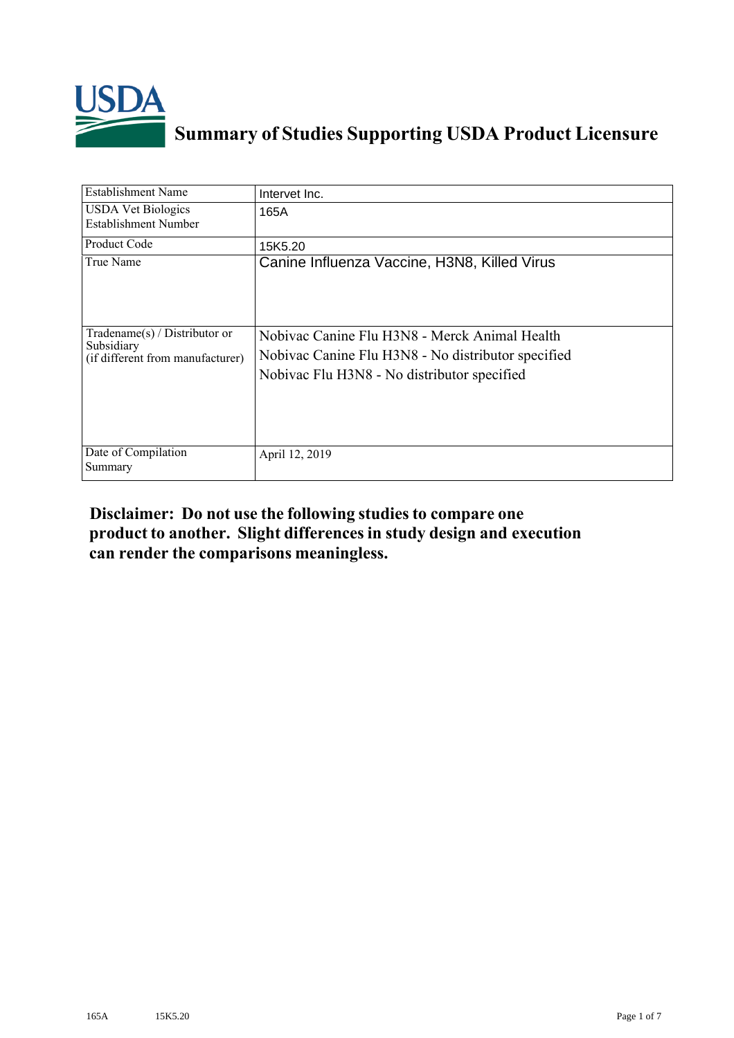

# **Summary of Studies Supporting USDA Product Licensure**

| <b>Establishment Name</b>                                                          | Intervet Inc.                                                                                                                                      |
|------------------------------------------------------------------------------------|----------------------------------------------------------------------------------------------------------------------------------------------------|
| <b>USDA Vet Biologics</b><br>Establishment Number                                  | 165A                                                                                                                                               |
| <b>Product Code</b>                                                                | 15K5.20                                                                                                                                            |
| True Name                                                                          | Canine Influenza Vaccine, H3N8, Killed Virus                                                                                                       |
| Tradename $(s)$ / Distributor or<br>Subsidiary<br>(if different from manufacturer) | Nobivac Canine Flu H3N8 - Merck Animal Health<br>Nobivac Canine Flu H3N8 - No distributor specified<br>Nobivac Flu H3N8 - No distributor specified |
| Date of Compilation<br>Summary                                                     | April 12, 2019                                                                                                                                     |

# **Disclaimer: Do not use the following studiesto compare one product to another. Slight differencesin study design and execution can render the comparisons meaningless.**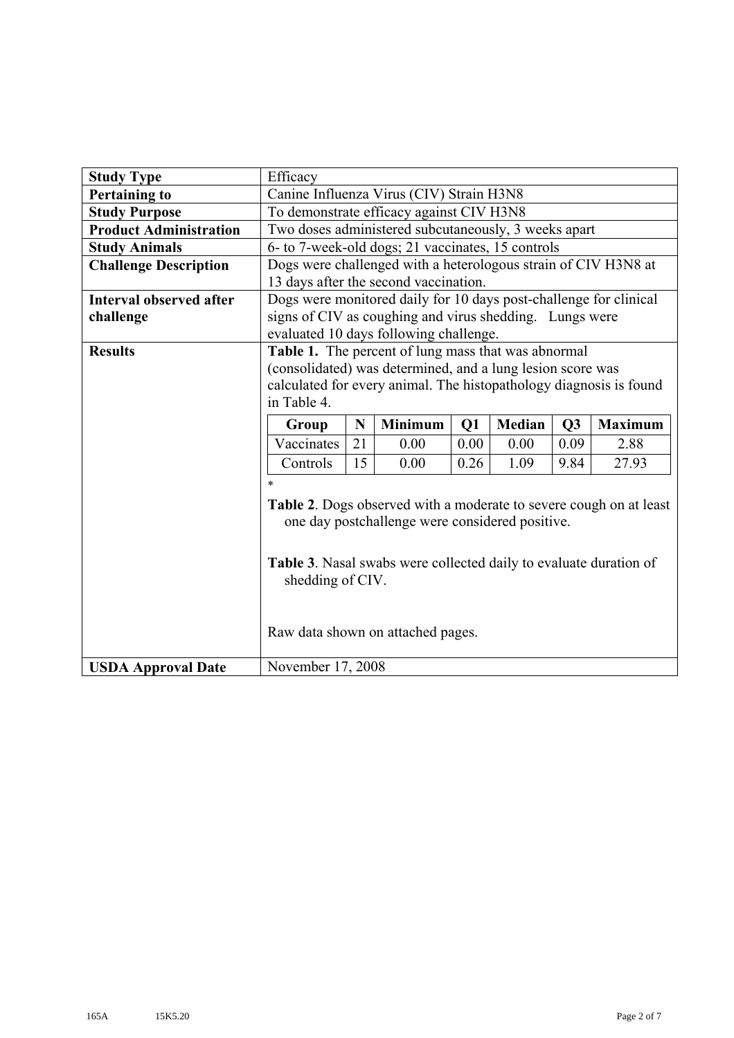| <b>Study Type</b>              | Efficacy                                                                                                          |    |                |      |               |      |                |  |
|--------------------------------|-------------------------------------------------------------------------------------------------------------------|----|----------------|------|---------------|------|----------------|--|
| <b>Pertaining to</b>           | Canine Influenza Virus (CIV) Strain H3N8                                                                          |    |                |      |               |      |                |  |
| <b>Study Purpose</b>           | To demonstrate efficacy against CIV H3N8                                                                          |    |                |      |               |      |                |  |
| <b>Product Administration</b>  | Two doses administered subcutaneously, 3 weeks apart                                                              |    |                |      |               |      |                |  |
| <b>Study Animals</b>           | 6- to 7-week-old dogs; 21 vaccinates, 15 controls                                                                 |    |                |      |               |      |                |  |
| <b>Challenge Description</b>   | Dogs were challenged with a heterologous strain of CIV H3N8 at                                                    |    |                |      |               |      |                |  |
|                                | 13 days after the second vaccination.                                                                             |    |                |      |               |      |                |  |
| <b>Interval observed after</b> | Dogs were monitored daily for 10 days post-challenge for clinical                                                 |    |                |      |               |      |                |  |
| challenge                      | signs of CIV as coughing and virus shedding. Lungs were                                                           |    |                |      |               |      |                |  |
|                                | evaluated 10 days following challenge.                                                                            |    |                |      |               |      |                |  |
| <b>Results</b>                 | Table 1. The percent of lung mass that was abnormal<br>(consolidated) was determined, and a lung lesion score was |    |                |      |               |      |                |  |
|                                |                                                                                                                   |    |                |      |               |      |                |  |
|                                | calculated for every animal. The histopathology diagnosis is found                                                |    |                |      |               |      |                |  |
|                                | in Table 4.                                                                                                       |    |                |      |               |      |                |  |
|                                | Group                                                                                                             | N  | <b>Minimum</b> | Q1   | <b>Median</b> | Q3   | <b>Maximum</b> |  |
|                                | Vaccinates                                                                                                        | 21 | 0.00           | 0.00 | 0.00          | 0.09 | 2.88           |  |
|                                | Controls<br>15<br>0.00<br>1.09<br>9.84<br>27.93<br>0.26                                                           |    |                |      |               |      |                |  |
|                                | $\ast$                                                                                                            |    |                |      |               |      |                |  |
|                                | Table 2. Dogs observed with a moderate to severe cough on at least                                                |    |                |      |               |      |                |  |
|                                | one day postchallenge were considered positive.                                                                   |    |                |      |               |      |                |  |
|                                |                                                                                                                   |    |                |      |               |      |                |  |
|                                |                                                                                                                   |    |                |      |               |      |                |  |
|                                | <b>Table 3.</b> Nasal swabs were collected daily to evaluate duration of                                          |    |                |      |               |      |                |  |
|                                | shedding of CIV.                                                                                                  |    |                |      |               |      |                |  |
|                                |                                                                                                                   |    |                |      |               |      |                |  |
|                                |                                                                                                                   |    |                |      |               |      |                |  |
|                                | Raw data shown on attached pages.                                                                                 |    |                |      |               |      |                |  |
|                                |                                                                                                                   |    |                |      |               |      |                |  |
| <b>USDA Approval Date</b>      | November 17, 2008                                                                                                 |    |                |      |               |      |                |  |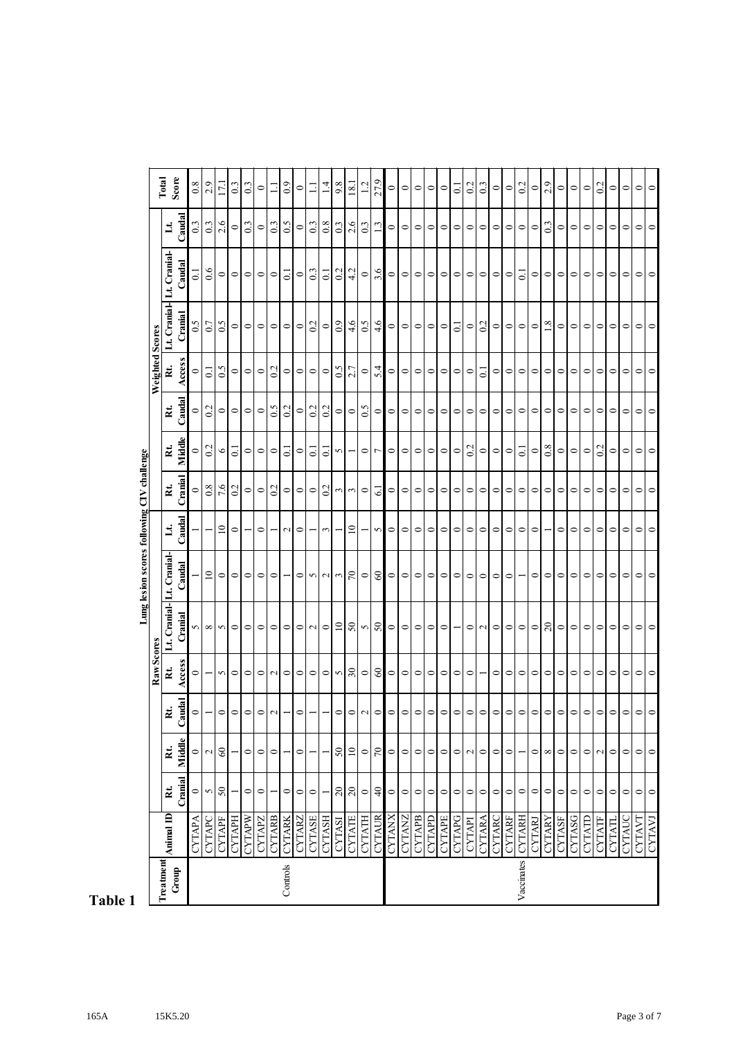|                    |               |                |                 |                                                                     |                             |                           | Lung lesion scores following CIV challenge |                 |                      |                      |         |                   |                   |                     |                  |                |
|--------------------|---------------|----------------|-----------------|---------------------------------------------------------------------|-----------------------------|---------------------------|--------------------------------------------|-----------------|----------------------|----------------------|---------|-------------------|-------------------|---------------------|------------------|----------------|
|                    |               |                |                 |                                                                     | Raw Scores                  |                           |                                            |                 |                      |                      |         | Weighted Scores   |                   |                     |                  | Total          |
| Treatment<br>Group | Animal ID     | Rt.            | Rt.             | $\ddot{z}$                                                          | Rt.                         | Lt. Cranial- Lt. Cranial- |                                            | E.              | $\tilde{\mathbf{z}}$ | $\tilde{\mathbf{z}}$ | Rt.     | Rt.               | Lt. Cranial-      | Lt. Crania          | $\mathbf{H}$     | Score          |
|                    |               | Cranial        | Middle          | Caudal                                                              | Access                      | Cranial                   | Caudal                                     | Caudal          | Cranial              | Middle               | Caudal  | Access            | Cranial           | Caudal              | Caudal           |                |
|                    | <b>CYTAPA</b> | $\circ$        | $\circ$         |                                                                     |                             |                           |                                            |                 |                      |                      |         |                   |                   | ್                   | $\overline{0.3}$ | $rac{8}{2}$    |
|                    | CYTAPC        | 5              | $\sim$          |                                                                     |                             | ທ∣∞∣ທ                     | $\overline{10}$                            |                 | 0.8                  | 0.2                  | 0.2     | 5                 | 0.7               | 6.6                 | 0.3              |                |
|                    | <b>CYTAPF</b> | $50\,$         | 60              | $\circ$                                                             | S                           |                           | $\circ$                                    | $\overline{10}$ | 7.6                  | 0                    | $\circ$ | 0.5               | 0.5               | $\circ$             | 2.6              | $17$ .         |
|                    | CYTAPH        |                |                 | $\circ$                                                             | $\circ$                     | $\circ$                   | $\circ$                                    | $\circ$         | 0.2                  | $\overline{\circ}$   | $\circ$ | $\circ$           | $\circ$           | $\circ$             | $\circ$          |                |
|                    | CYTAPW        | $\circ$        | $\circ$         | $\circ$                                                             | $\circ$                     | $\circ$                   | 0                                          |                 | $\circ$              | $\circ$              | $\circ$ | $\circ$           | $\circ$           | $\circ$             | 0.3              | 0.3            |
|                    | <b>CYTAPZ</b> | $\circ$        | $\circ$         | $\circ$                                                             | $\circ$                     | $\circ$                   | 0                                          | $\circ$         | $\circ$              | $\circ$              | $\circ$ | $\circ$           | $\circ$           | $\circ$             | $\circ$          | $\circ$        |
|                    | <b>CYTARB</b> |                | $\circ$         | $\sim$                                                              | $\sim$                      | $\circ$                   | $\circ$                                    |                 | 0.2                  | $\circ$              | 0.5     | 0.2               | $\circ$           | $\circ$             | 0.3              | $\Xi$          |
| Controls           | <b>CYTARK</b> | $\circ$        |                 | $\overline{\phantom{a}}$                                            | $\circ$                     | $\circ$                   |                                            | $\sim$          | $\circ$              | $\overline{0}$ .     | 0.2     | $\circ$           | $\circ$           | $\overline{c}$      | 0.5              | 0.9            |
|                    | <b>CYTARZ</b> | $\circ$        | $\circ$         |                                                                     | $\circ$                     |                           | $\circ$                                    | $\circ$         | $\circ$              | $\circ$              | $\circ$ | $\circ$           | $\circ$           | $\circ$             | $\circ$          | $\circ$        |
|                    | <b>CYTASE</b> | $\circ$        |                 | $\circ$ -                                                           | $\circ$                     | $\circ$ $\circ$           | r)                                         |                 | $\circ$              | $\overline{5}$       | 0.2     | $\circ$   $\circ$ | 0.2               | 0.3                 | 0.3              | $\Xi$          |
|                    | <b>CYTASH</b> |                |                 | $\overline{\phantom{0}}$                                            | $\circ$                     |                           | $\sim$                                     | $\mathfrak{c}$  | 0.2                  | $\Xi$                | 0.2     |                   | $\circ$           | $\overline{\circ}$  | 0.8              | $\vec{=}$      |
|                    | <b>CYTASI</b> | $\overline{c}$ | $50\,$          | $\circ$                                                             |                             | $\overline{10}$           | 3                                          |                 | $\epsilon$           | r)                   | $\circ$ | 0.5               | 0.9               | 0.2                 | 0.3              | 9.8            |
|                    | <b>CYTATE</b> | $20\,$         | $\overline{10}$ |                                                                     | ত $\vert \mathcal{S} \vert$ |                           | $\sqrt{2}$                                 | $\overline{10}$ | $\sim$               |                      | $\circ$ | 2.7               | 4.6               | 4.2                 | 2.6              | 18.            |
|                    | <b>CYTATH</b> | $\circ$        | $\circ$         |                                                                     | $\circ$                     |                           | $\circ$                                    |                 | $\circ$              | $\circ$              | 0.5     | $\circ$           | 0.5               | $\circ$             | 0.3              | 1.2            |
|                    | <b>CYTAUR</b> | $\Theta$       | $\sqrt{2}$      |                                                                     | $\mathcal{S}$               | $S \sim 5$                | $\mbox{6}$                                 | 5               | 5                    | $\overline{r}$       | $\circ$ | 5.4               | 4.6               | 3.6                 | 1.3              | 27.9           |
|                    | <b>CYTANX</b> | $\circ$        | $\circ$         | $\circ$   $\circ$   $\circ$   $\circ$   $\circ$   $\circ$   $\circ$ | $\circ$                     | $\circ$                   | $\circ$                                    | $\circ$         | $\circ$              | $\circ$              | $\circ$ | $\circ$           |                   |                     | $\circ$          | $\circ$        |
|                    | <b>CYTANZ</b> | $\circ$        | $\circ$         |                                                                     | $\circ$                     | $\circ$                   | $\circ$                                    | $\circ$         | $\circ$              | $\circ$              | $\circ$ | $\circ$           | $\circ$ $\circ$   | $\circ$ $\circ$     | $\circ$          | $\circ$        |
|                    | <b>CYTAPB</b> | $\circ$        | $\circ$         |                                                                     | $\circ$                     | $\circ$                   | $\circ$                                    | $\circ$         | $\circ$              | $\circ$              | $\circ$ | $\circ$           | $\circ$           | $\circ$             | $\circ$          | $\circ$        |
|                    | CYTAPD        | $\circ$        | $\circ$         |                                                                     | $\circ$                     | $\circ$                   | $\circ$                                    | $\circ$         | $\circ$              | $\circ$              | $\circ$ | $\circ$           | $\circ$           | $\circ$             | $\circ$          | $\circ$        |
|                    | <b>CYTAPE</b> | $\circ$        | $\circ$         |                                                                     | $\circ$                     | $\circ$                   | $\circ$                                    | $\circ$         | $\circ$              | $\circ$              | $\circ$ | $\circ$           | $\circ$           | $\circ$             | $\circ$          | $\circ$        |
|                    | <b>CYTAPG</b> | $\circ$        | $\circ$         |                                                                     | $\circ$                     |                           | $\circ$                                    | $\circ$         | $\circ$              | $\circ$              | $\circ$ | $\circ$           | $\overline{c}$    | $\circ$             | $\circ$          | $\overline{0}$ |
|                    | <b>CYTAPI</b> | $\circ$        | $\mathbf{c}$    |                                                                     | $\circ$                     | $\circ$                   | $\circ$                                    | $\circ$         | $\circ$              | 0.2                  | $\circ$ | $\circ$           | $\circ$           | $\circ$             | $\circ$          | 0.2            |
|                    | <b>CYTARA</b> | $\circ$        | $\circ$         | $\circ$ $\circ$ $\circ$ $\circ$ $\circ$                             |                             | $\sim$                    | $\circ$                                    | $\circ$         | $\circ$              | $\circ$              | $\circ$ | $\overline{c}$    | 0.2               | $\circ$             | $\circ$          | 0.3            |
|                    | <b>CYTARC</b> | $\circ$        | $\circ$         |                                                                     | 0                           | $\circ$                   | $\circ$                                    | $\circ$         | $\circ$              | $\circ$              | $\circ$ | $\circ$           | $\circ$           | $\circ$             | $\circ$          | $\circ$        |
|                    | <b>CYTARF</b> | $\circ$        | $\circ$         |                                                                     | $\circ$                     | $\circ$                   | $\circ$                                    | $\circ$         | $\circ$              | $\circ$              | $\circ$ | $\circ$           | $\circ$           | $\circ$             | $\circ$          | $\circ$        |
| Vaccinates         | <b>CYTARH</b> | $\circ$        |                 |                                                                     | $\circ$                     | $\circ$                   |                                            | $\circ$         | $\circ$              | $\overline{0}$       | $\circ$ | $\circ$           | $\circ$   $\circ$ | $\overline{\omega}$ | $\circ$          | 0.2            |
|                    | CYTARJ        | $\circ$        | $\circ$         | $\circ$ $\circ$ $\circ$                                             | $\circ$                     | $\circ$                   | $\circ$                                    | $\circ$         | $\circ$              | $\circ$              | $\circ$ | $\circ$           |                   | $\circ$             | $\circ$          | $\circ$        |
|                    | <b>CYTARY</b> | $\circ$        | $\infty$        |                                                                     | 0                           | 20                        | $\circ$                                    |                 | $\circ$              | 0.8                  | $\circ$ | $\circ$           | 1.8               | $\circ$             | 0.3              | 2.9            |
|                    | <b>CYTASF</b> | $\circ$        | $\circ$         |                                                                     | $\circ$                     | $\circ$                   | $\circ$                                    | $\circ$         | $\circ$              | $\circ$              | $\circ$ | $\circ$           | $\circ$           | $\circ$             | $\circ$          | $\circ$        |
|                    | CYTASG        | $\circ$        | $\circ$         | $  \circ   \circ  $                                                 | $\circ$                     | $\circ$                   | $\circ$                                    | $\circ$         | $\circ$              | $\circ$              | $\circ$ | $\circ$           | $\circ$           | $\circ$             | $\circ$          | $\circ$        |
|                    | CYTATD        | $\circ$        | $\circ$         | $\circ$                                                             | $\circ$                     | $\circ$                   | $\circ$                                    | $\circ$         | $\circ$              | $\circ$              | $\circ$ | $\circ$           | $\circ$           | $\circ$             | $\circ$          | $\circ$        |
|                    | <b>CYTATF</b> | $\circ$        | $\mathbf{C}$    |                                                                     | $\circ$                     | $\circ$                   | $\circ$                                    | $\circ$         | $\circ$              | 0.2                  | $\circ$ | $\circ$           | $\circ$           | $\circ$             | $\circ$          | 0.2            |
|                    | <b>CYTATL</b> | $\circ$        | $\circ$         | $\circ$                                                             | $\circ$                     | $\circ$                   | $\circ$                                    | $\circ$         | $\circ$              | $\circ$              | $\circ$ | $\circ$           | $\circ$           | $\circ$             | $\circ$          | $\circ$        |
|                    | <b>CYTAUC</b> | $\circ$        | $\circ$         | $\circ$                                                             | $\circ$                     | $\circ$                   |                                            | $\circ$         | $\circ$              | $\circ$              | $\circ$ | $\circ$           | $\circ$           | $\circ$             | $\circ$          |                |
|                    | <b>CYTAVI</b> | $\circ$        | $\circ$         | $\circ$                                                             | $\circ$                     | $\circ$                   |                                            | $\circ$         | 0                    | ◒                    | ⇨       | $\circ$           | $\circ$           | $\circ$             | $\circ$          |                |
|                    | <b>CYTAVJ</b> | $\circ$        | $\circ$         | $\circ$                                                             | $\circ$                     | $\circ$                   |                                            | $\circ$         | $\circ$              | $\circ$              | $\circ$ | $\circ$           | $\circ$           | $\circ$             | $\circ$          | $\circ$        |

Lung lesion scores following CIV challenge

# **Table 1**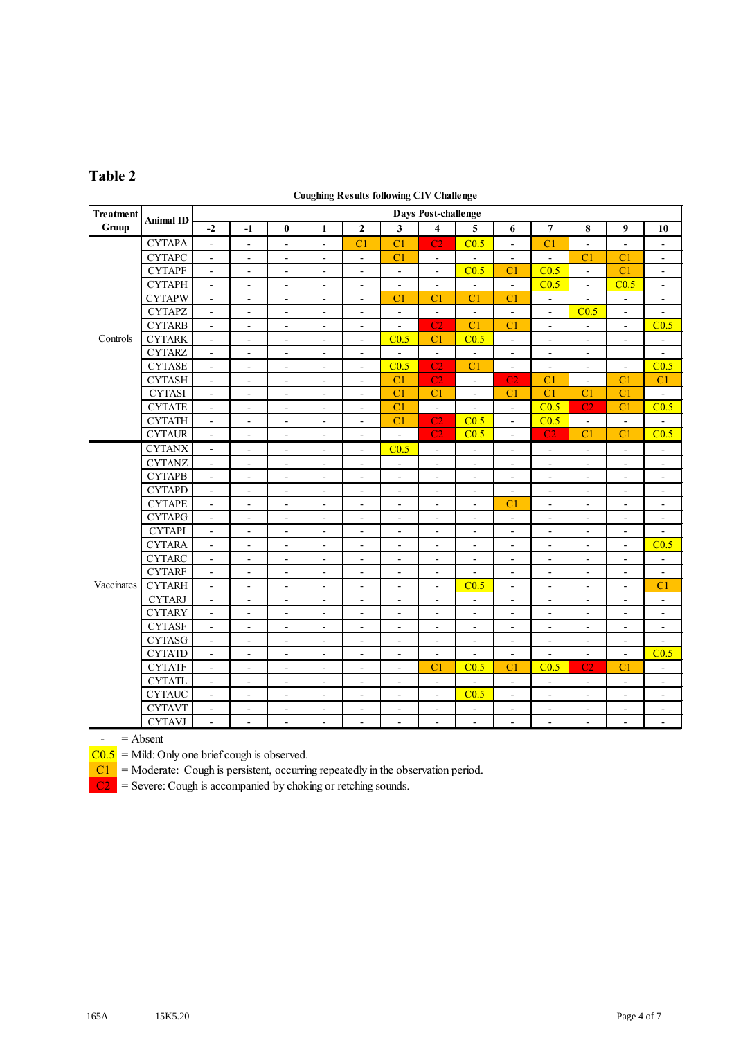### **Table 2**

#### **Coughing Results following CIV Challenge**

| <b>Treatment</b> |               | <b>Days Post-challenge</b><br><b>Animal ID</b> |                          |                          |                              |                          |                          |                          |                          |                          |                          |                          |                              |                              |
|------------------|---------------|------------------------------------------------|--------------------------|--------------------------|------------------------------|--------------------------|--------------------------|--------------------------|--------------------------|--------------------------|--------------------------|--------------------------|------------------------------|------------------------------|
| Group            |               | $-2$                                           | $-1$                     | $\bf{0}$                 | $\mathbf{1}$                 | $\mathbf{2}$             | $\overline{\mathbf{3}}$  | $\overline{\mathbf{4}}$  | 5                        | 6                        | $\overline{7}$           | 8                        | 9                            | 10                           |
|                  | <b>CYTAPA</b> | $\frac{1}{2}$                                  | $\blacksquare$           | $\overline{\phantom{a}}$ | $\blacksquare$               | C <sub>1</sub>           | C <sub>1</sub>           | C2                       | C <sub>0.5</sub>         | $\Box$                   | C <sub>1</sub>           | $\blacksquare$           | ÷,                           | $\overline{\phantom{a}}$     |
| Controls         | <b>CYTAPC</b> | $\overline{\phantom{0}}$                       | $\overline{\phantom{a}}$ | $\overline{\phantom{a}}$ | $\overline{\phantom{a}}$     | $\overline{\phantom{a}}$ | C <sub>1</sub>           | $\blacksquare$           | $\blacksquare$           | $\blacksquare$           | $\blacksquare$           | C <sub>1</sub>           | C <sub>1</sub>               | $\qquad \qquad \blacksquare$ |
|                  | <b>CYTAPF</b> | $\qquad \qquad \blacksquare$                   | $\overline{\phantom{a}}$ | $\overline{\phantom{a}}$ | $\frac{1}{2}$                | $\overline{\phantom{a}}$ | $\equiv$                 | $\overline{\phantom{a}}$ | C <sub>0.5</sub>         | C <sub>1</sub>           | C <sub>0.5</sub>         | $\blacksquare$           | C <sub>1</sub>               | $\blacksquare$               |
|                  | <b>CYTAPH</b> | $\blacksquare$                                 | $\blacksquare$           | $\overline{\phantom{a}}$ | $\blacksquare$               | $\overline{\phantom{a}}$ | $\blacksquare$           | $\blacksquare$           | $\omega$                 | $\overline{a}$           | C <sub>0.5</sub>         | $\blacksquare$           | C <sub>0.5</sub>             | $\overline{\phantom{a}}$     |
|                  | <b>CYTAPW</b> | $\qquad \qquad \blacksquare$                   | $\blacksquare$           | $\blacksquare$           | $\blacksquare$               | $\overline{\phantom{a}}$ | C <sub>1</sub>           | C <sub>1</sub>           | C <sub>1</sub>           | C <sub>1</sub>           | $\overline{\phantom{a}}$ | $\blacksquare$           | $\frac{1}{2}$                | $\overline{\phantom{a}}$     |
|                  | <b>CYTAPZ</b> | $\blacksquare$                                 | $\blacksquare$           | $\blacksquare$           | $\blacksquare$               | $\overline{\phantom{a}}$ | $\omega$                 | $\blacksquare$           | $\blacksquare$           | $\sim$                   | $\overline{\phantom{a}}$ | C <sub>0.5</sub>         | $\overline{\phantom{a}}$     | $\bar{\phantom{a}}$          |
|                  | <b>CYTARB</b> | ÷,                                             | $\blacksquare$           | ÷,                       | $\blacksquare$               | $\blacksquare$           | $\Box$                   | C <sub>2</sub>           | C <sub>1</sub>           | C <sub>1</sub>           | $\blacksquare$           | $\blacksquare$           | $\overline{\phantom{a}}$     | C <sub>0.5</sub>             |
|                  | <b>CYTARK</b> | $\overline{\phantom{a}}$                       | $\overline{\phantom{a}}$ | $\blacksquare$           | $\blacksquare$               | $\overline{\phantom{a}}$ | C <sub>0.5</sub>         | C <sub>1</sub>           | C <sub>0.5</sub>         | $\blacksquare$           | $\blacksquare$           | $\blacksquare$           | $\overline{\phantom{a}}$     | $\blacksquare$               |
|                  | <b>CYTARZ</b> | $\blacksquare$                                 | $\blacksquare$           | $\overline{\phantom{a}}$ | $\overline{\phantom{a}}$     | $\blacksquare$           | $\blacksquare$           | $\blacksquare$           | $\blacksquare$           | $\blacksquare$           | $\blacksquare$           | $\overline{\phantom{a}}$ |                              | $\overline{\phantom{a}}$     |
|                  | <b>CYTASE</b> | $\overline{a}$                                 | $\blacksquare$           | $\blacksquare$           | $\blacksquare$               | $\blacksquare$           | C <sub>0.5</sub>         | C <sub>2</sub>           | C <sub>1</sub>           | $\overline{\phantom{a}}$ | $\blacksquare$           | $\blacksquare$           | $\overline{a}$               | C <sub>0.5</sub>             |
|                  | <b>CYTASH</b> | $\overline{\phantom{a}}$                       | $\blacksquare$           | $\blacksquare$           | $\blacksquare$               | $\blacksquare$           | C <sub>1</sub>           | C <sub>2</sub>           | $\blacksquare$           | C <sub>2</sub>           | C <sub>1</sub>           | $\blacksquare$           | C <sub>1</sub>               | C1                           |
| Vaccinates       | <b>CYTASI</b> | $\overline{a}$                                 | ÷,                       | $\frac{1}{2}$            | $\blacksquare$               | $\blacksquare$           | C <sub>1</sub>           | C <sub>1</sub>           | $\blacksquare$           | C <sub>1</sub>           | C <sub>1</sub>           | C <sub>1</sub>           | C <sub>1</sub>               | $\Box$                       |
|                  | <b>CYTATE</b> | $\overline{a}$                                 | $\blacksquare$           | ÷,                       | $\blacksquare$               | $\blacksquare$           | C <sub>1</sub>           | $\overline{a}$           | $\overline{a}$           | $\overline{a}$           | C <sub>0.5</sub>         | C <sub>2</sub>           | C <sub>1</sub>               | C <sub>0.5</sub>             |
|                  | <b>CYTATH</b> | ÷,                                             | $\overline{\phantom{a}}$ | $\blacksquare$           | $\overline{\phantom{a}}$     | $\overline{\phantom{a}}$ | C <sub>1</sub>           | C <sub>2</sub>           | C <sub>0.5</sub>         | $\blacksquare$           | C <sub>0.5</sub>         | $\Box$                   | $\overline{a}$               | $\blacksquare$               |
|                  | <b>CYTAUR</b> | $\overline{a}$                                 | $\blacksquare$           | $\frac{1}{2}$            | $\blacksquare$               | $\tilde{\phantom{a}}$    | $\mathbf{r}$             | C <sub>2</sub>           | C <sub>0.5</sub>         | $\blacksquare$           | C2                       | C <sub>1</sub>           | C <sub>1</sub>               | C <sub>0.5</sub>             |
|                  | <b>CYTANX</b> | ÷,                                             | $\blacksquare$           | ÷,                       | $\blacksquare$               | $\blacksquare$           | C <sub>0.5</sub>         | $\blacksquare$           | $\blacksquare$           | $\blacksquare$           | $\blacksquare$           | $\blacksquare$           | ä,                           | $\Box$                       |
|                  | <b>CYTANZ</b> | $\overline{a}$                                 | ÷,                       | ÷,                       | $\blacksquare$               | $\blacksquare$           | $\Box$                   | $\blacksquare$           | $\blacksquare$           | ÷,                       | $\blacksquare$           | $\blacksquare$           | $\overline{\phantom{a}}$     | $\blacksquare$               |
|                  | <b>CYTAPB</b> | $\frac{1}{2}$                                  | $\blacksquare$           | $\blacksquare$           | $\blacksquare$               | $\blacksquare$           | $\blacksquare$           | $\blacksquare$           | $\omega$                 | $\blacksquare$           | $\blacksquare$           | $\mathbf{r}$             | $\overline{\phantom{a}}$     | $\blacksquare$               |
|                  | <b>CYTAPD</b> | ÷,                                             | $\blacksquare$           | $\blacksquare$           | $\sim$                       | $\bar{\phantom{a}}$      | $\blacksquare$           | $\blacksquare$           | $\mathbf{r}$             | $\blacksquare$           | $\blacksquare$           | $\blacksquare$           | $\overline{\phantom{a}}$     | $\blacksquare$               |
|                  | <b>CYTAPE</b> | $\blacksquare$                                 | $\blacksquare$           | $\blacksquare$           | $\blacksquare$               | $\blacksquare$           | $\blacksquare$           | $\blacksquare$           | $\blacksquare$           | C <sub>1</sub>           | $\blacksquare$           | $\blacksquare$           | ÷,                           | $\blacksquare$               |
|                  | <b>CYTAPG</b> | $\overline{\phantom{a}}$                       | $\blacksquare$           | $\overline{\phantom{a}}$ | $\blacksquare$               | $\overline{\phantom{a}}$ | $\blacksquare$           | $\blacksquare$           | $\blacksquare$           | $\blacksquare$           | $\blacksquare$           | $\overline{\phantom{a}}$ | $\overline{\phantom{a}}$     | $\blacksquare$               |
|                  | <b>CYTAPI</b> | $\blacksquare$                                 | $\blacksquare$           | $\overline{\phantom{a}}$ | $\blacksquare$               | $\overline{\phantom{a}}$ | $\blacksquare$           | $\blacksquare$           | $\overline{\phantom{a}}$ | $\blacksquare$           | $\overline{\phantom{a}}$ | $\blacksquare$           | $\blacksquare$               | $\blacksquare$               |
|                  | <b>CYTARA</b> | $\blacksquare$                                 | $\blacksquare$           | $\blacksquare$           | $\overline{\phantom{a}}$     | $\blacksquare$           | $\blacksquare$           | $\overline{\phantom{a}}$ | $\blacksquare$           | $\blacksquare$           | $\blacksquare$           | $\blacksquare$           | $\qquad \qquad \blacksquare$ | C <sub>0.5</sub>             |
|                  | <b>CYTARC</b> | $\blacksquare$                                 | $\overline{\phantom{a}}$ | $\overline{\phantom{a}}$ | $\overline{\phantom{a}}$     | $\overline{\phantom{a}}$ | $\overline{\phantom{a}}$ | $\overline{\phantom{a}}$ | $\overline{\phantom{a}}$ | $\blacksquare$           | $\blacksquare$           | $\overline{\phantom{a}}$ | $\blacksquare$               | $\Box$                       |
|                  | <b>CYTARF</b> | ÷,                                             | $\overline{\phantom{a}}$ | $\blacksquare$           | $\qquad \qquad \blacksquare$ | $\overline{\phantom{a}}$ | $\blacksquare$           | $\blacksquare$           | $\blacksquare$           | $\blacksquare$           | $\blacksquare$           | $\blacksquare$           | $\blacksquare$               | $\blacksquare$               |
|                  | <b>CYTARH</b> | $\overline{a}$                                 | $\overline{\phantom{a}}$ | $\blacksquare$           | $\blacksquare$               | $\overline{\phantom{a}}$ | $\blacksquare$           | $\blacksquare$           | C <sub>0.5</sub>         | $\blacksquare$           | $\overline{\phantom{a}}$ | $\blacksquare$           | $\qquad \qquad \blacksquare$ | C <sub>1</sub>               |
|                  | <b>CYTARJ</b> | $\blacksquare$                                 | $\blacksquare$           | $\blacksquare$           | $\blacksquare$               | $\blacksquare$           | $\blacksquare$           | $\blacksquare$           | $\mathbf{r}$             | $\blacksquare$           | $\blacksquare$           | $\blacksquare$           | $\blacksquare$               | $\blacksquare$               |
|                  | <b>CYTARY</b> | $\blacksquare$                                 | $\blacksquare$           | ÷,                       | $\blacksquare$               | $\blacksquare$           | $\blacksquare$           | $\blacksquare$           | $\tilde{\phantom{a}}$    | $\blacksquare$           | $\blacksquare$           | $\blacksquare$           | $\overline{\phantom{a}}$     | $\blacksquare$               |
|                  | <b>CYTASF</b> | $\blacksquare$                                 | $\blacksquare$           | $\blacksquare$           | $\blacksquare$               | $\blacksquare$           | $\blacksquare$           | $\blacksquare$           | $\blacksquare$           | $\blacksquare$           | $\blacksquare$           | $\blacksquare$           | $\overline{\phantom{a}}$     | $\blacksquare$               |
|                  | <b>CYTASG</b> | $\blacksquare$                                 | $\blacksquare$           | $\overline{\phantom{a}}$ | $\blacksquare$               | $\blacksquare$           | $\blacksquare$           | $\blacksquare$           | $\blacksquare$           | $\blacksquare$           | $\blacksquare$           | $\mathbf{r}$             | $\overline{\phantom{a}}$     | $\overline{a}$               |
|                  | <b>CYTATD</b> | $\blacksquare$                                 | $\blacksquare$           | $\blacksquare$           | $\blacksquare$               | $\blacksquare$           | $\blacksquare$           | $\blacksquare$           | $\blacksquare$           | $\blacksquare$           | $\blacksquare$           | $\blacksquare$           | $\overline{\phantom{a}}$     | C <sub>0.5</sub>             |
|                  | <b>CYTATF</b> | $\blacksquare$                                 | $\blacksquare$           | $\blacksquare$           | $\overline{\phantom{a}}$     | $\blacksquare$           | $\blacksquare$           | C <sub>1</sub>           | C <sub>0.5</sub>         | C <sub>1</sub>           | C <sub>0.5</sub>         | C <sub>2</sub>           | C <sub>1</sub>               | $\overline{\phantom{a}}$     |
|                  | <b>CYTATL</b> | $\overline{a}$                                 | $\blacksquare$           | $\overline{\phantom{a}}$ | $\blacksquare$               | ä,                       | $\blacksquare$           | $\bar{\phantom{a}}$      |                          | $\overline{a}$           | $\Box$                   | $\blacksquare$           | Ξ                            | $\overline{\phantom{a}}$     |
|                  | <b>CYTAUC</b> | $\frac{1}{2}$                                  | ÷,                       | $\blacksquare$           | $\qquad \qquad \blacksquare$ | $\blacksquare$           | $\blacksquare$           | $\blacksquare$           | C <sub>0.5</sub>         | $\frac{1}{2}$            | $\overline{\phantom{a}}$ | $\frac{1}{2}$            | $\overline{a}$               | $\blacksquare$               |
|                  | <b>CYTAVT</b> | $\blacksquare$                                 | $\blacksquare$           | $\overline{\phantom{a}}$ | $\blacksquare$               | $\overline{\phantom{a}}$ | $\blacksquare$           | $\blacksquare$           | $\blacksquare$           | $\overline{\phantom{a}}$ | $\overline{\phantom{a}}$ | $\blacksquare$           | $\blacksquare$               | $\blacksquare$               |
|                  | <b>CYTAVJ</b> | $\overline{a}$                                 | $\blacksquare$           | $\overline{a}$           | $\blacksquare$               | $\bar{\phantom{a}}$      | L.                       | $\blacksquare$           | $\tilde{\phantom{a}}$    | $\overline{a}$           | $\bar{\phantom{a}}$      | $\blacksquare$           | ÷,                           | $\blacksquare$               |

 $-$  = Absent

 $\overline{C0.5}$  = Mild: Only one brief cough is observed.

 $\overline{C1}$  = Moderate: Cough is persistent, occurring repeatedly in the observation period.

 $|C2|$  = Severe: Cough is accompanied by choking or retching sounds.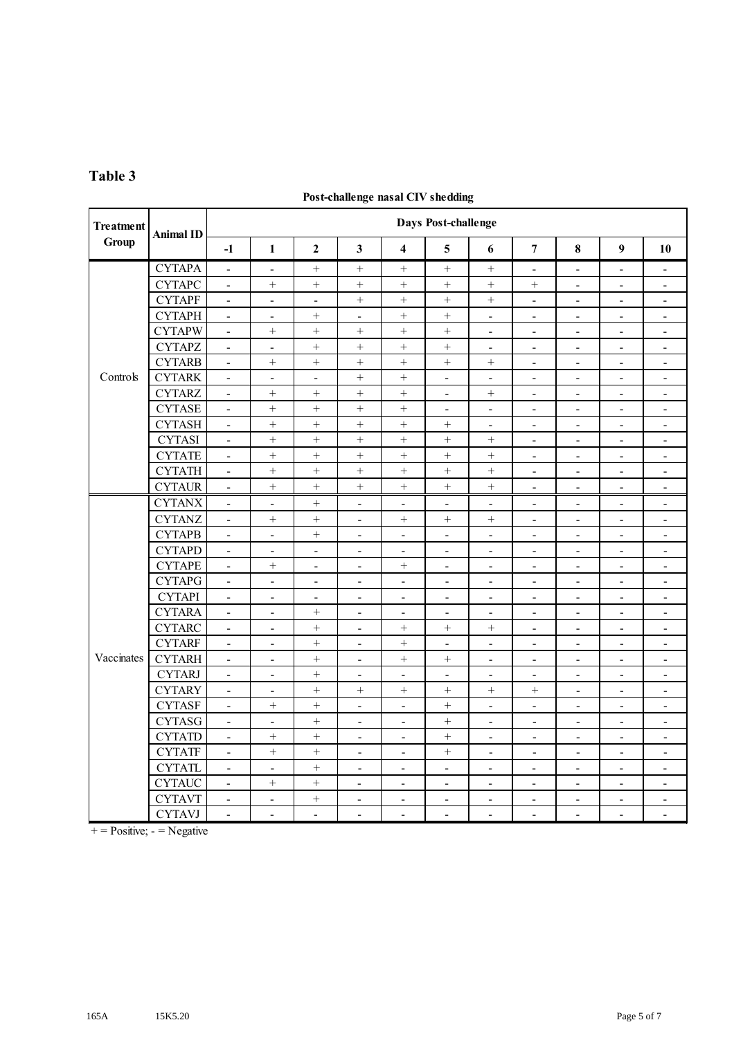## **Table 3**

#### **Post-challenge nasal CIV shedding**

| <b>Treatment</b> | <b>Animal ID</b> | Days Post-challenge          |                          |                              |                              |                          |                          |                              |                          |                              |                              |                              |  |  |  |
|------------------|------------------|------------------------------|--------------------------|------------------------------|------------------------------|--------------------------|--------------------------|------------------------------|--------------------------|------------------------------|------------------------------|------------------------------|--|--|--|
| Group            |                  | $-1$                         | $\mathbf{1}$             | $\overline{2}$               | 3                            | $\overline{\mathbf{4}}$  | 5                        | 6                            | $\overline{7}$           | 8                            | $\boldsymbol{9}$             | 10                           |  |  |  |
|                  | <b>CYTAPA</b>    | $\Box$                       | $\Box$                   |                              |                              |                          |                          |                              | $\Box$                   | $\Box$                       | $\frac{1}{2}$                | $\blacksquare$               |  |  |  |
| Controls         | <b>CYTAPC</b>    | $\overline{\phantom{a}}$     |                          |                              |                              |                          | $^{+}$                   | $\boldsymbol{+}$             | $^{+}$                   | $\overline{\phantom{a}}$     | $\overline{\phantom{a}}$     | $\blacksquare$               |  |  |  |
|                  | <b>CYTAPF</b>    | $\overline{\phantom{0}}$     | $\overline{\phantom{0}}$ | $\qquad \qquad \blacksquare$ |                              |                          |                          | $+$                          | $\overline{\phantom{a}}$ | $\overline{\phantom{0}}$     | $\qquad \qquad \blacksquare$ | $\qquad \qquad \blacksquare$ |  |  |  |
|                  | <b>CYTAPH</b>    | $\overline{\phantom{a}}$     | $\overline{\phantom{a}}$ |                              | $\frac{1}{2}$                | $\! + \!$                | $\qquad \qquad +$        | $\overline{\phantom{a}}$     | $\overline{\phantom{a}}$ | $\overline{\phantom{a}}$     | $\overline{\phantom{a}}$     | $\blacksquare$               |  |  |  |
|                  | <b>CYTAPW</b>    | $\overline{\phantom{a}}$     | $\boldsymbol{+}$         |                              | $\! + \!$                    | $\ddot{}$                | $\qquad \qquad +$        | $\overline{\phantom{a}}$     | $\overline{\phantom{a}}$ | $\blacksquare$               | $\overline{\phantom{a}}$     | $\blacksquare$               |  |  |  |
|                  | <b>CYTAPZ</b>    | $\blacksquare$               | $\overline{\phantom{0}}$ | $\ddot{}$                    | $\ddot{}$                    | $\ddot{}$                | $\qquad \qquad +$        | $\sim$                       | $\overline{\phantom{a}}$ | $\overline{\phantom{a}}$     | $\overline{\phantom{a}}$     | $\sim$                       |  |  |  |
|                  | <b>CYTARB</b>    | $\blacksquare$               |                          |                              | $^{+}$                       | $\ddot{}$                | $^{+}$                   | $\! + \!$                    | $\blacksquare$           | $\blacksquare$               | $\overline{\phantom{a}}$     | $\blacksquare$               |  |  |  |
|                  | <b>CYTARK</b>    | $\overline{a}$               | $\overline{a}$           | $\overline{a}$               | $\ddot{}$                    | $\ddot{}$                | $\overline{a}$           | $\overline{a}$               | $\overline{a}$           | $\overline{a}$               | $\overline{a}$               | $\blacksquare$               |  |  |  |
|                  | <b>CYTARZ</b>    | $\blacksquare$               | $\boldsymbol{+}$         | $\! + \!$                    | $\qquad \qquad +$            |                          | $\blacksquare$           | $\boldsymbol{+}$             | $\Box$                   | $\overline{\phantom{a}}$     | $\frac{1}{2}$                | $\blacksquare$               |  |  |  |
|                  | <b>CYTASE</b>    | $\overline{\phantom{a}}$     | $\! +$                   |                              | $+$                          |                          | $\blacksquare$           | $\blacksquare$               | $\blacksquare$           | $\blacksquare$               | $\blacksquare$               | $\overline{\phantom{a}}$     |  |  |  |
|                  | <b>CYTASH</b>    | $\blacksquare$               | $\ddot{+}$               |                              | $\ddot{}$                    | $\ddot{}$                |                          | $\blacksquare$               | $\blacksquare$           | $\blacksquare$               | $\overline{\phantom{a}}$     | $\overline{\phantom{a}}$     |  |  |  |
|                  | <b>CYTASI</b>    | $\qquad \qquad \blacksquare$ | $\! +$                   |                              |                              |                          |                          |                              | $\overline{\phantom{a}}$ | $\overline{\phantom{a}}$     | $\overline{\phantom{a}}$     | $\overline{\phantom{a}}$     |  |  |  |
|                  | <b>CYTATE</b>    | $\frac{1}{2}$                | $\ddot{}$                | $\ddot{}$                    | $\ddot{}$                    |                          |                          | $\ddot{}$                    | $\overline{\phantom{a}}$ | $\overline{\phantom{a}}$     | $\blacksquare$               | $\blacksquare$               |  |  |  |
|                  | <b>CYTATH</b>    | $\overline{\phantom{a}}$     | $\qquad \qquad +$        | $\boldsymbol{+}$             | $^{+}$                       | $\boldsymbol{+}$         | $^{+}$                   | $\! + \!$                    | $\overline{\phantom{a}}$ | $\blacksquare$               | $\overline{\phantom{a}}$     | $\overline{\phantom{a}}$     |  |  |  |
|                  | <b>CYTAUR</b>    | $\overline{\phantom{a}}$     | $^{+}$                   | $+$                          | $^{+}$                       | $^{+}$                   | $^{+}$                   | $^{+}$                       | $\overline{a}$           | $\overline{a}$               | $\overline{\phantom{a}}$     | $\overline{a}$               |  |  |  |
| Vaccinates       | <b>CYTANX</b>    | $\overline{\phantom{a}}$     | $\overline{\phantom{0}}$ |                              | $\frac{1}{2}$                | $\overline{a}$           | $\overline{a}$           | $\blacksquare$               | $\overline{a}$           | $\overline{a}$               | $\overline{a}$               | $\overline{a}$               |  |  |  |
|                  | <b>CYTANZ</b>    | $\blacksquare$               |                          |                              | $\qquad \qquad \blacksquare$ |                          |                          | $+$                          | $\overline{\phantom{a}}$ | $\overline{\phantom{a}}$     | $\overline{\phantom{a}}$     | $\blacksquare$               |  |  |  |
|                  | <b>CYTAPB</b>    | $\overline{\phantom{a}}$     | $\overline{\phantom{a}}$ |                              | $\overline{a}$               | $\overline{\phantom{a}}$ | $\blacksquare$           | $\blacksquare$               | $\blacksquare$           | $\overline{\phantom{a}}$     | $\blacksquare$               | $\blacksquare$               |  |  |  |
|                  | <b>CYTAPD</b>    | $\blacksquare$               | $\blacksquare$           | $\blacksquare$               | $\overline{a}$               | $\overline{a}$           | $\blacksquare$           | $\blacksquare$               | $\sim$                   | $\overline{\phantom{a}}$     | $\blacksquare$               | $\overline{\phantom{a}}$     |  |  |  |
|                  | <b>CYTAPE</b>    | $\Box$                       |                          | $\overline{\phantom{a}}$     | $\overline{\phantom{a}}$     |                          | $\overline{\phantom{a}}$ | $\overline{a}$               | $\overline{\phantom{a}}$ | $\overline{a}$               | $\overline{a}$               | $\overline{\phantom{a}}$     |  |  |  |
|                  | <b>CYTAPG</b>    | $\Box$                       | $\overline{\phantom{a}}$ | $\overline{\phantom{a}}$     | $\frac{1}{2}$                | $\overline{\phantom{0}}$ | $\overline{\phantom{a}}$ | $\blacksquare$               | $\blacksquare$           | $\overline{\phantom{a}}$     | $\overline{\phantom{a}}$     | $\overline{\phantom{a}}$     |  |  |  |
|                  | <b>CYTAPI</b>    | $\blacksquare$               | $\overline{\phantom{a}}$ | $\blacksquare$               | $\blacksquare$               | ÷,                       | $\overline{\phantom{a}}$ | $\overline{\phantom{a}}$     | $\blacksquare$           | $\blacksquare$               | $\blacksquare$               | $\overline{\phantom{a}}$     |  |  |  |
|                  | <b>CYTARA</b>    | $\blacksquare$               | $\overline{\phantom{a}}$ |                              | $\qquad \qquad \blacksquare$ | $\overline{\phantom{a}}$ | $\overline{\phantom{a}}$ | $\overline{\phantom{a}}$     | $\overline{\phantom{a}}$ | $\overline{\phantom{a}}$     | $\overline{\phantom{a}}$     | $\overline{\phantom{a}}$     |  |  |  |
|                  | <b>CYTARC</b>    | $\frac{1}{2}$                | $\overline{\phantom{a}}$ | $\ddot{}$                    | $\overline{a}$               |                          |                          | $^{+}$                       | $\overline{\phantom{a}}$ | $\blacksquare$               | $\overline{\phantom{a}}$     | $\overline{\phantom{0}}$     |  |  |  |
|                  | <b>CYTARF</b>    | $\frac{1}{2}$                | $\frac{1}{2}$            |                              | $\overline{\phantom{0}}$     | $\boldsymbol{+}$         | $\blacksquare$           | $\overline{\phantom{a}}$     | $\frac{1}{2}$            | $\blacksquare$               | $\overline{\phantom{0}}$     | $\qquad \qquad \blacksquare$ |  |  |  |
|                  | <b>CYTARH</b>    | $\blacksquare$               | $\blacksquare$           |                              | $\overline{\phantom{a}}$     | $+$                      |                          | $\blacksquare$               | $\overline{\phantom{a}}$ | $\blacksquare$               | $\overline{\phantom{a}}$     | $\overline{\phantom{a}}$     |  |  |  |
|                  | <b>CYTARJ</b>    | $\overline{\phantom{a}}$     | $\overline{\phantom{a}}$ | $\ddot{}$                    | $\overline{\phantom{a}}$     | $\overline{\phantom{a}}$ | $\sim$                   | $\blacksquare$               | $\overline{\phantom{a}}$ | $\overline{\phantom{a}}$     | $\overline{\phantom{a}}$     | $\overline{\phantom{a}}$     |  |  |  |
|                  | <b>CYTARY</b>    | $\blacksquare$               | $\overline{\phantom{a}}$ |                              | $^{+}$                       | $+$                      | $^{+}$                   | $^{+}$                       | $^{+}$                   | $\blacksquare$               | $\overline{a}$               | $\frac{1}{2}$                |  |  |  |
|                  | <b>CYTASF</b>    | $\blacksquare$               | $^{+}$                   | $\ddot{}$                    | $\overline{a}$               | $\overline{\phantom{a}}$ | $\ddot{}$                | $\blacksquare$               | $\overline{\phantom{a}}$ | $\blacksquare$               | $\overline{a}$               | $\overline{a}$               |  |  |  |
|                  | <b>CYTASG</b>    | $\Box$                       | $\blacksquare$           | $+$                          | $\blacksquare$               | $\blacksquare$           | $^{+}$                   | $\blacksquare$               | $\blacksquare$           | $\blacksquare$               | $\blacksquare$               | $\overline{\phantom{a}}$     |  |  |  |
|                  | <b>CYTATD</b>    | $\blacksquare$               | $\boldsymbol{+}$         |                              | $\overline{\phantom{a}}$     | $\blacksquare$           |                          | $\blacksquare$               | $\blacksquare$           | $\overline{\phantom{a}}$     | $\blacksquare$               | $\overline{\phantom{a}}$     |  |  |  |
|                  | <b>CYTATF</b>    | $\blacksquare$               | $^{+}$                   | $+$                          | $\overline{\phantom{a}}$     | $\overline{\phantom{0}}$ | $^{+}$                   | $\overline{\phantom{a}}$     | $\overline{\phantom{a}}$ | $\overline{\phantom{a}}$     | $\overline{\phantom{0}}$     | $\overline{\phantom{a}}$     |  |  |  |
|                  | <b>CYTATL</b>    | $\overline{\phantom{0}}$     | $\blacksquare$           |                              | $\overline{\phantom{a}}$     | $\overline{\phantom{0}}$ | $\overline{\phantom{a}}$ | $\overline{\phantom{a}}$     | $\blacksquare$           | $\qquad \qquad \blacksquare$ | $\overline{\phantom{0}}$     | $\overline{\phantom{a}}$     |  |  |  |
|                  | <b>CYTAUC</b>    | $\frac{1}{2}$                | $^{+}$                   | $^{+}$                       | $\qquad \qquad \blacksquare$ | $\overline{\phantom{a}}$ | $\overline{\phantom{a}}$ | $\qquad \qquad \blacksquare$ | $\overline{\phantom{a}}$ | $\qquad \qquad \blacksquare$ | $\qquad \qquad \blacksquare$ | $\overline{\phantom{a}}$     |  |  |  |
|                  | <b>CYTAVT</b>    | $\overline{\phantom{a}}$     | $\overline{\phantom{a}}$ |                              | $\overline{\phantom{a}}$     | $\overline{\phantom{0}}$ | $\blacksquare$           | $\overline{a}$               | $\blacksquare$           | $\blacksquare$               | $\overline{\phantom{a}}$     | $\blacksquare$               |  |  |  |
|                  | <b>CYTAVJ</b>    | $\blacksquare$               | $\overline{\phantom{a}}$ | $\sim$                       | $\overline{a}$               | $\overline{a}$           | $\overline{\phantom{a}}$ | $\overline{a}$               | $\sim$                   | $\overline{a}$               | $\overline{a}$               | $\blacksquare$               |  |  |  |

 $+$  = Positive; - = Negative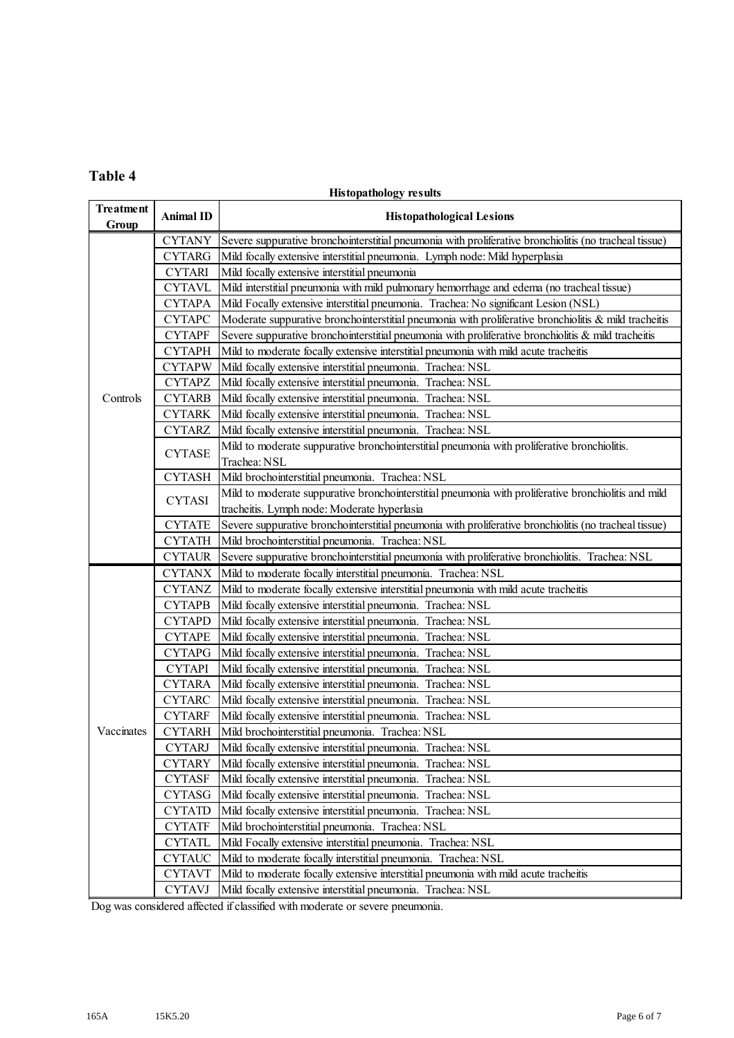### **Table 4**

### **Histopathology results**

| <b>Treatment</b><br>Group | <b>Animal ID</b> | <b>Histopathological Lesions</b>                                                                       |
|---------------------------|------------------|--------------------------------------------------------------------------------------------------------|
|                           | <b>CYTANY</b>    | Severe suppurative bronchointerstitial pneumonia with proliferative bronchiolitis (no tracheal tissue) |
|                           | <b>CYTARG</b>    | Mild focally extensive interstitial pneumonia. Lymph node: Mild hyperplasia                            |
|                           | <b>CYTARI</b>    | Mild focally extensive interstitial pneumonia                                                          |
|                           | <b>CYTAVL</b>    | Mild interstitial pneumonia with mild pulmonary hemorrhage and edema (no tracheal tissue)              |
|                           | <b>CYTAPA</b>    | Mild Focally extensive interstitial pneumonia. Trachea: No significant Lesion (NSL)                    |
|                           | <b>CYTAPC</b>    | Moderate suppurative bronchointerstitial pneumonia with proliferative bronchiolitis & mild tracheitis  |
|                           | <b>CYTAPF</b>    | Severe suppurative bronchointerstitial pneumonia with proliferative bronchiolitis & mild tracheitis    |
|                           | <b>CYTAPH</b>    | Mild to moderate focally extensive interstitial pneumonia with mild acute tracheitis                   |
|                           | <b>CYTAPW</b>    | Mild focally extensive interstitial pneumonia. Trachea: NSL                                            |
|                           | <b>CYTAPZ</b>    | Mild focally extensive interstitial pneumonia. Trachea: NSL                                            |
| Controls                  | <b>CYTARB</b>    | Mild focally extensive interstitial pneumonia. Trachea: NSL                                            |
|                           | <b>CYTARK</b>    | Mild focally extensive interstitial pneumonia. Trachea: NSL                                            |
|                           | <b>CYTARZ</b>    | Mild focally extensive interstitial pneumonia. Trachea: NSL                                            |
|                           | <b>CYTASE</b>    | Mild to moderate suppurative bronchointerstitial pneumonia with proliferative bronchiolitis.           |
|                           |                  | Trachea: NSL                                                                                           |
|                           | <b>CYTASH</b>    | Mild brochointerstitial pneumonia. Trachea: NSL                                                        |
|                           | <b>CYTASI</b>    | Mild to moderate suppurative bronchointerstitial pneumonia with proliferative bronchiolitis and mild   |
|                           |                  | tracheitis. Lymph node: Moderate hyperlasia                                                            |
|                           | <b>CYTATE</b>    | Severe suppurative bronchointerstitial pneumonia with proliferative bronchiolitis (no tracheal tissue) |
|                           | <b>CYTATH</b>    | Mild brochointerstitial pneumonia. Trachea: NSL                                                        |
|                           | <b>CYTAUR</b>    | Severe suppurative bronchointerstitial pneumonia with proliferative bronchiolitis. Trachea: NSL        |
|                           | <b>CYTANX</b>    | Mild to moderate focally interstitial pneumonia. Trachea: NSL                                          |
|                           | <b>CYTANZ</b>    | Mild to moderate focally extensive interstitial pneumonia with mild acute tracheitis                   |
|                           | <b>CYTAPB</b>    | Mild focally extensive interstitial pneumonia. Trachea: NSL                                            |
|                           | <b>CYTAPD</b>    | Mild focally extensive interstitial pneumonia. Trachea: NSL                                            |
|                           | <b>CYTAPE</b>    | Mild focally extensive interstitial pneumonia. Trachea: NSL                                            |
|                           | <b>CYTAPG</b>    | Mild focally extensive interstitial pneumonia. Trachea: NSL                                            |
|                           | <b>CYTAPI</b>    | Mild focally extensive interstitial pneumonia. Trachea: NSL                                            |
|                           | <b>CYTARA</b>    | Mild focally extensive interstitial pneumonia. Trachea: NSL                                            |
|                           | <b>CYTARC</b>    | Mild focally extensive interstitial pneumonia. Trachea: NSL                                            |
|                           | <b>CYTARF</b>    | Mild focally extensive interstitial pneumonia. Trachea: NSL                                            |
| Vaccinates                | <b>CYTARH</b>    | Mild brochointerstitial pneumonia. Trachea: NSL                                                        |
|                           | <b>CYTARJ</b>    | Mild focally extensive interstitial pneumonia. Trachea: NSL                                            |
|                           | <b>CYTARY</b>    | Mild focally extensive interstitial pneumonia. Trachea: NSL                                            |
|                           | <b>CYTASF</b>    | Mild focally extensive interstitial pneumonia. Trachea: NSL                                            |
|                           | <b>CYTASG</b>    | Mild focally extensive interstitial pneumonia. Trachea: NSL                                            |
|                           | <b>CYTATD</b>    | Mild focally extensive interstitial pneumonia. Trachea: NSL                                            |
|                           | <b>CYTATF</b>    | Mild brochointerstitial pneumonia. Trachea: NSL                                                        |
|                           | <b>CYTATL</b>    | Mild Focally extensive interstitial pneumonia. Trachea: NSL                                            |
|                           | <b>CYTAUC</b>    | Mild to moderate focally interstitial pneumonia. Trachea: NSL                                          |
|                           | <b>CYTAVT</b>    | Mild to moderate focally extensive interstitial pneumonia with mild acute tracheitis                   |
|                           | <b>CYTAVJ</b>    | Mild focally extensive interstitial pneumonia. Trachea: NSL                                            |

Dog was considered affected if classified with moderate or severe pneumonia.